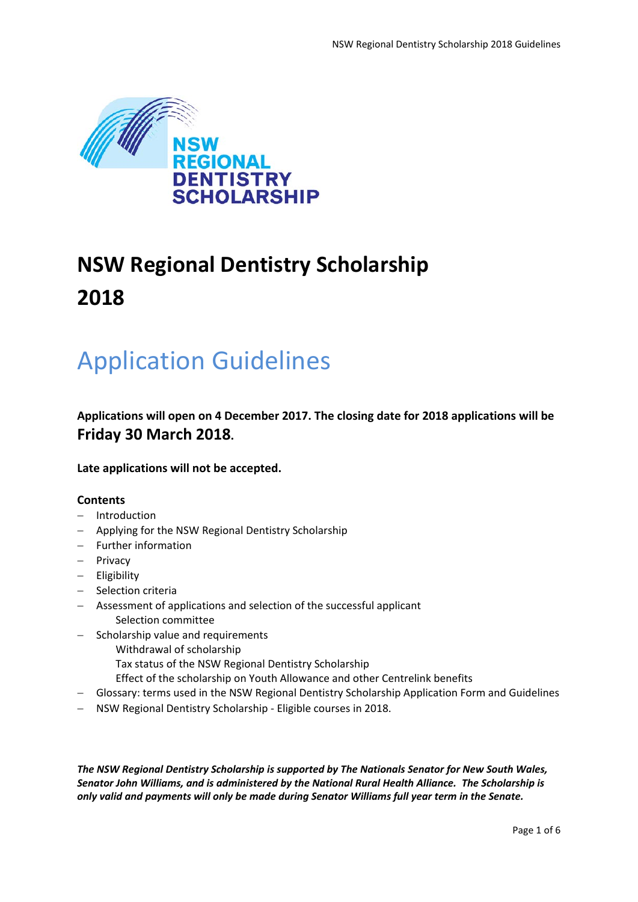

# **NSW Regional Dentistry Scholarship 2018**

# Application Guidelines

**Applications will open on 4 December 2017. The closing date for 2018 applications will be Friday 30 March 2018.**

**Late applications will not be accepted.**

### **Contents**

- − Introduction
- − Applying for the NSW Regional Dentistry Scholarship
- − Further information
- − Privacy
- − Eligibility
- − Selection criteria
- − Assessment of applications and selection of the successful applicant Selection committee
- − Scholarship value and requirements
	- Withdrawal of scholarship
		- Tax status of the NSW Regional Dentistry Scholarship
		- Effect of the scholarship on Youth Allowance and other Centrelink benefits
- − Glossary: terms used in the NSW Regional Dentistry Scholarship Application Form and Guidelines
- − NSW Regional Dentistry Scholarship Eligible courses in 2018.

*The NSW Regional Dentistry Scholarship is supported by The Nationals Senator for New South Wales, Senator John Williams, and is administered by the National Rural Health Alliance. The Scholarship is only valid and payments will only be made during Senator Williams full year term in the Senate.*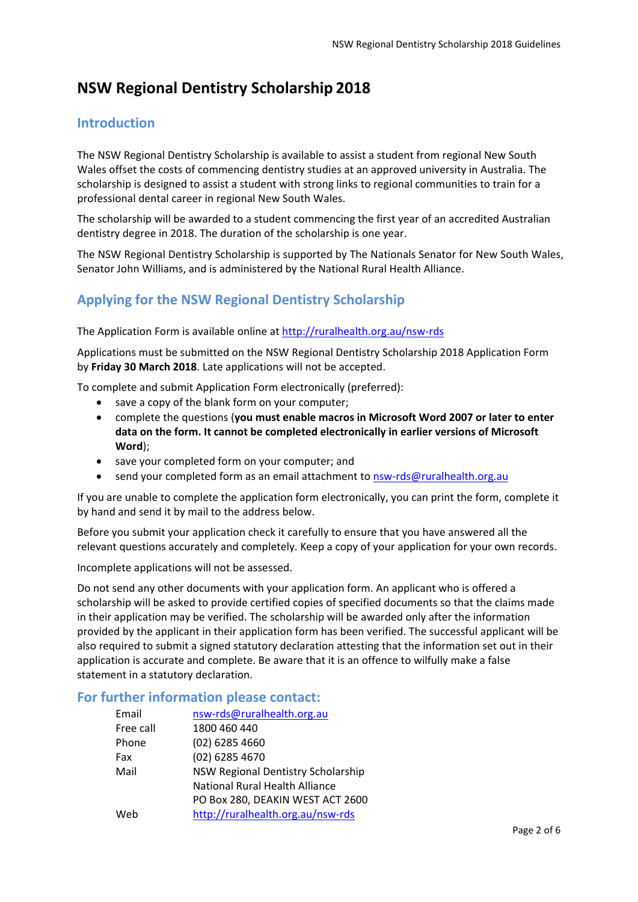# **NSW Regional Dentistry Scholarship 2018**

### **Introduction**

The NSW Regional Dentistry Scholarship is available to assist a student from regional New South Wales offset the costs of commencing dentistry studies at an approved university in Australia. The scholarship is designed to assist a student with strong links to regional communities to train for a professional dental career in regional New South Wales.

The scholarship will be awarded to a student commencing the first year of an accredited Australian dentistry degree in 2018. The duration of the scholarship is one year.

The NSW Regional Dentistry Scholarship is supported by The Nationals Senator for New South Wales, Senator John Williams, and is administered by the National Rural Health Alliance.

## **Applying for the NSW Regional Dentistry Scholarship**

The Application Form is available online at<http://ruralhealth.org.au/nsw-rds>

Applications must be submitted on the NSW Regional Dentistry Scholarship 2018 Application Form by **Friday 30 March 2018**. Late applications will not be accepted.

To complete and submit Application Form electronically (preferred):

- save a copy of the blank form on your computer;
- complete the questions (**you must enable macros in Microsoft Word 2007 or later to enter data on the form. It cannot be completed electronically in earlier versions of Microsoft Word**);
- save your completed form on your computer; and
- send your completed form as an email attachment to [nsw-rds@ruralhealth.org.au](mailto:nsw-rds@ruralhealth.org.au)

If you are unable to complete the application form electronically, you can print the form, complete it by hand and send it by mail to the address below.

Before you submit your application check it carefully to ensure that you have answered all the relevant questions accurately and completely. Keep a copy of your application for your own records.

Incomplete applications will not be assessed.

Do not send any other documents with your application form. An applicant who is offered a scholarship will be asked to provide certified copies of specified documents so that the claims made in their application may be verified. The scholarship will be awarded only after the information provided by the applicant in their application form has been verified. The successful applicant will be also required to submit a signed statutory declaration attesting that the information set out in their application is accurate and complete. Be aware that it is an offence to wilfully make a false statement in a statutory declaration.

#### **For further information please contact:**

| Email     | nsw-rds@ruralhealth.org.au         |  |
|-----------|------------------------------------|--|
| Free call | 1800 460 440                       |  |
| Phone     | (02) 6285 4660                     |  |
| Fax       | (02) 6285 4670                     |  |
| Mail      | NSW Regional Dentistry Scholarship |  |
|           | National Rural Health Alliance     |  |
|           | PO Box 280, DEAKIN WEST ACT 2600   |  |
| Web       | http://ruralhealth.org.au/nsw-rds  |  |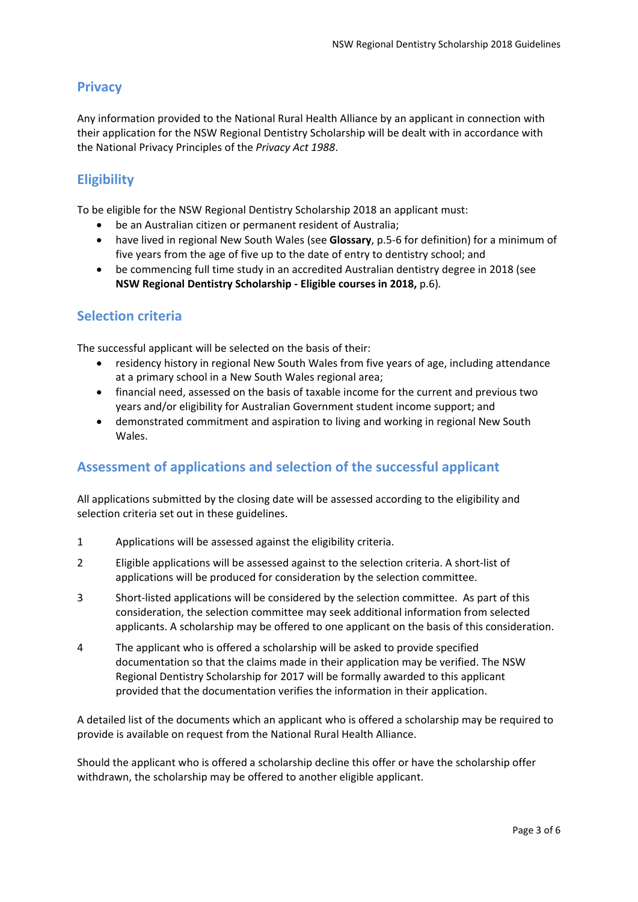## **Privacy**

Any information provided to the National Rural Health Alliance by an applicant in connection with their application for the NSW Regional Dentistry Scholarship will be dealt with in accordance with the National Privacy Principles of the *Privacy Act 1988*.

## **Eligibility**

To be eligible for the NSW Regional Dentistry Scholarship 2018 an applicant must:

- be an Australian citizen or permanent resident of Australia;
- have lived in regional New South Wales (see **Glossary**, p.5-6 for definition) for a minimum of five years from the age of five up to the date of entry to dentistry school; and
- be commencing full time study in an accredited Australian dentistry degree in 2018 (see **NSW Regional Dentistry Scholarship - Eligible courses in 2018,** p.6)*.*

#### **Selection criteria**

The successful applicant will be selected on the basis of their:

- residency history in regional New South Wales from five years of age, including attendance at a primary school in a New South Wales regional area;
- financial need, assessed on the basis of taxable income for the current and previous two years and/or eligibility for Australian Government student income support; and
- demonstrated commitment and aspiration to living and working in regional New South Wales.

### **Assessment of applications and selection of the successful applicant**

All applications submitted by the closing date will be assessed according to the eligibility and selection criteria set out in these guidelines.

- 1 Applications will be assessed against the eligibility criteria.
- 2 Eligible applications will be assessed against to the selection criteria. A short-list of applications will be produced for consideration by the selection committee.
- 3 Short-listed applications will be considered by the selection committee. As part of this consideration, the selection committee may seek additional information from selected applicants. A scholarship may be offered to one applicant on the basis of this consideration.
- 4 The applicant who is offered a scholarship will be asked to provide specified documentation so that the claims made in their application may be verified. The NSW Regional Dentistry Scholarship for 2017 will be formally awarded to this applicant provided that the documentation verifies the information in their application.

A detailed list of the documents which an applicant who is offered a scholarship may be required to provide is available on request from the National Rural Health Alliance.

Should the applicant who is offered a scholarship decline this offer or have the scholarship offer withdrawn, the scholarship may be offered to another eligible applicant.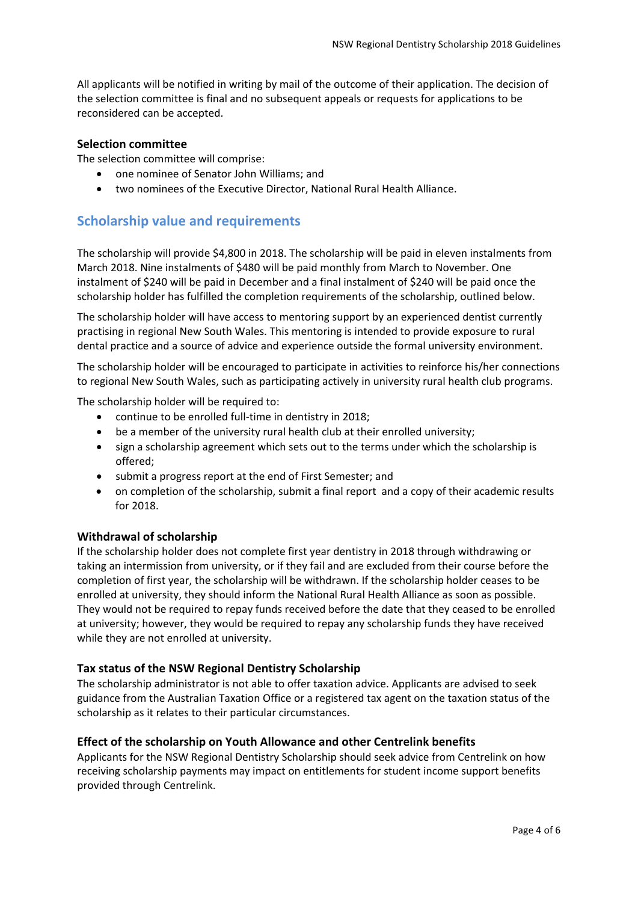All applicants will be notified in writing by mail of the outcome of their application. The decision of the selection committee is final and no subsequent appeals or requests for applications to be reconsidered can be accepted.

#### **Selection committee**

The selection committee will comprise:

- one nominee of Senator John Williams; and
- two nominees of the Executive Director, National Rural Health Alliance.

#### **Scholarship value and requirements**

The scholarship will provide \$4,800 in 2018. The scholarship will be paid in eleven instalments from March 2018. Nine instalments of \$480 will be paid monthly from March to November. One instalment of \$240 will be paid in December and a final instalment of \$240 will be paid once the scholarship holder has fulfilled the completion requirements of the scholarship, outlined below.

The scholarship holder will have access to mentoring support by an experienced dentist currently practising in regional New South Wales. This mentoring is intended to provide exposure to rural dental practice and a source of advice and experience outside the formal university environment.

The scholarship holder will be encouraged to participate in activities to reinforce his/her connections to regional New South Wales, such as participating actively in university rural health club programs.

The scholarship holder will be required to:

- continue to be enrolled full-time in dentistry in 2018;
- be a member of the university rural health club at their enrolled university;
- sign a scholarship agreement which sets out to the terms under which the scholarship is offered;
- submit a progress report at the end of First Semester; and
- on completion of the scholarship, submit a final report and a copy of their academic results for 2018.

#### **Withdrawal of scholarship**

If the scholarship holder does not complete first year dentistry in 2018 through withdrawing or taking an intermission from university, or if they fail and are excluded from their course before the completion of first year, the scholarship will be withdrawn. If the scholarship holder ceases to be enrolled at university, they should inform the National Rural Health Alliance as soon as possible. They would not be required to repay funds received before the date that they ceased to be enrolled at university; however, they would be required to repay any scholarship funds they have received while they are not enrolled at university.

#### **Tax status of the NSW Regional Dentistry Scholarship**

The scholarship administrator is not able to offer taxation advice. Applicants are advised to seek guidance from the Australian Taxation Office or a registered tax agent on the taxation status of the scholarship as it relates to their particular circumstances.

#### **Effect of the scholarship on Youth Allowance and other Centrelink benefits**

Applicants for the NSW Regional Dentistry Scholarship should seek advice from Centrelink on how receiving scholarship payments may impact on entitlements for student income support benefits provided through Centrelink.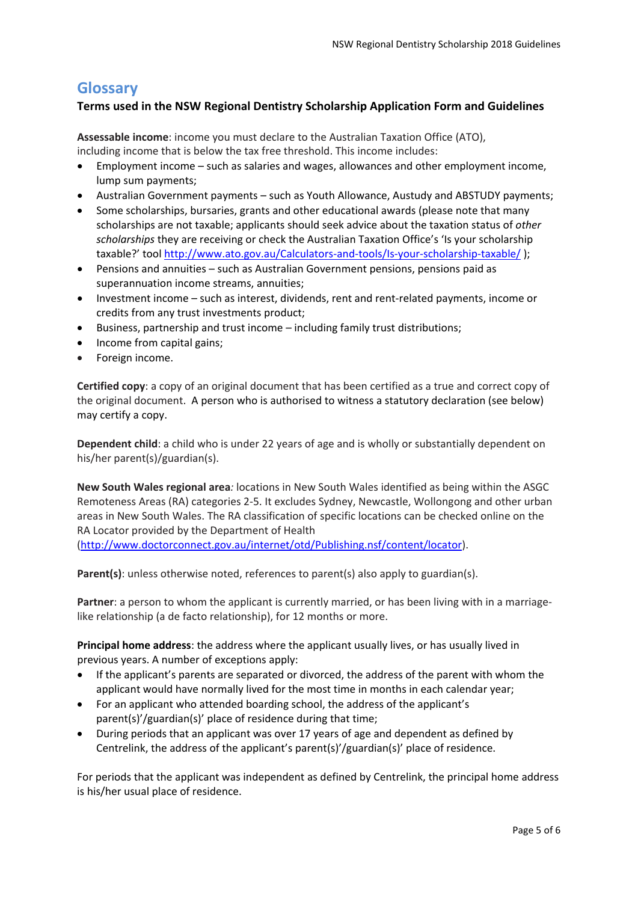## **Glossary**

#### **Terms used in the NSW Regional Dentistry Scholarship Application Form and Guidelines**

**Assessable income**: income you must declare to the Australian Taxation Office (ATO), including income that is below the tax free threshold. This income includes:

- Employment income such as salaries and wages, allowances and other employment income, lump sum payments;
- Australian Government payments such as Youth Allowance, Austudy and ABSTUDY payments;
- Some scholarships, bursaries, grants and other educational awards (please note that many scholarships are not taxable; applicants should seek advice about the taxation status of *other scholarships* they are receiving or check the Australian Taxation Office's 'Is your scholarship taxable?' tool <http://www.ato.gov.au/Calculators-and-tools/Is-your-scholarship-taxable/> );
- Pensions and annuities such as Australian Government pensions, pensions paid as superannuation income streams, annuities;
- Investment income such as interest, dividends, rent and rent-related payments, income or credits from any trust investments product;
- Business, partnership and trust income including family trust distributions;
- Income from capital gains;
- Foreign income.

**Certified copy**: a copy of an original document that has been certified as a true and correct copy of the original document. A person who is authorised to witness a statutory declaration (see below) may certify a copy.

**Dependent child**: a child who is under 22 years of age and is wholly or substantially dependent on his/her parent(s)/guardian(s).

**New South Wales regional area***:* locations in New South Wales identified as being within the ASGC Remoteness Areas (RA) categories 2-5. It excludes Sydney, Newcastle, Wollongong and other urban areas in New South Wales. The RA classification of specific locations can be checked online on the RA Locator provided by the Department of Health [\(http://www.doctorconnect.gov.au/internet/otd/Publishing.nsf/content/locator\)](http://www.doctorconnect.gov.au/internet/otd/Publishing.nsf/Content/locator).

Parent(s): unless otherwise noted, references to parent(s) also apply to guardian(s).

**Partner**: a person to whom the applicant is currently married, or has been living with in a marriagelike relationship (a de facto relationship), for 12 months or more.

**Principal home address**: the address where the applicant usually lives, or has usually lived in previous years. A number of exceptions apply:

- If the applicant's parents are separated or divorced, the address of the parent with whom the applicant would have normally lived for the most time in months in each calendar year;
- For an applicant who attended boarding school, the address of the applicant's parent(s)'/guardian(s)' place of residence during that time;
- During periods that an applicant was over 17 years of age and dependent as defined by Centrelink, the address of the applicant's parent(s)'/guardian(s)' place of residence.

For periods that the applicant was independent as defined by Centrelink, the principal home address is his/her usual place of residence.